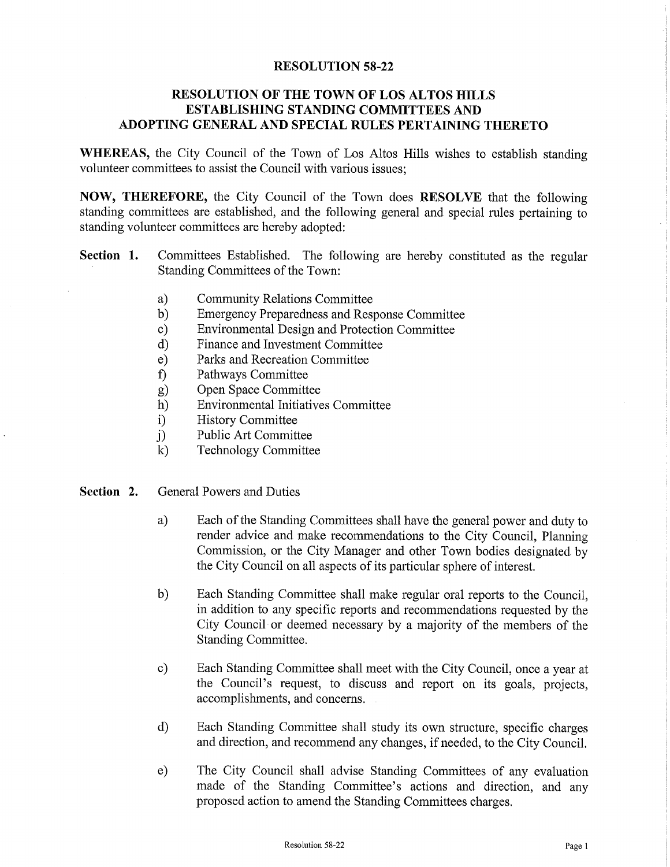## **RESOLUTION 58-22**

## RESOLUTION OF THE TOWN OF LOS ALTOS HILLS ESTABLISHING STANDING COMMITTEES AND ADOPTING GENERAL AND SPECIAL RULES PERTAINING THERETO

WHEREAS, the City Council of the Town of Los Altos Hills wishes to establish standing volunteer committees to assist the Council with various issues;

NOW, THEREFORE, the City Council of the Town does RESOLVE that the following standing committees are established, and the following general and special rules pertaining to standing volunteer committees are hereby adopted:

- Section 1. Committees Established. The following are hereby constituted as the regular Standing Committees of the Town:
	- a) Community Relations Committee<br>b) Emergency Preparedness and Res
	- b) Emergency Preparedness and Response Committee<br>
	c) Environmental Design and Protection Committee
	- C) Environmental Design and Protection Committee
	- d) Finance and Investment Committee
	- e) Parks and Recreation Committee
	- f) Pathways Committee
	- g) Open Space Committee<br>h) Environmental Initiative
	- h) Environmental Initiatives Committee
	-
	- i) History Committee<br>i) Public Art Committ j) Public Art Committee<br>
	k) Technology Committe
	- Technology Committee
- Section 2. General Powers and Duties
	- a) Each of the Standing Committees shall have the general power and duty to render advice and make recommendations to the City Council, Planning Commission, or the City Manager and other Town bodies designated by the City Council on all aspects of its particular sphere of interest.
	- b) Each Standing Committee shall make regular oral reports to the Council, in addition to any specific reports and recommendations requested by the City Council or deemed necessary by a majority of the members of the Standing Committee.
	- c) Each Standing Committee shall meet with the City Council, once <sup>a</sup> year at the Council's request, to discuss and report on its goals, projects, accomplishments, and concerns.
	- d) Each Standing Committee shall study its own structure, specific charges and direction, and recommend any changes, if needed, to the City Council.
	- e) The City Council shall advise Standing Committees of any evaluation made of the Standing Committee's actions and direction, and any proposed action to amend the Standing Committees charges.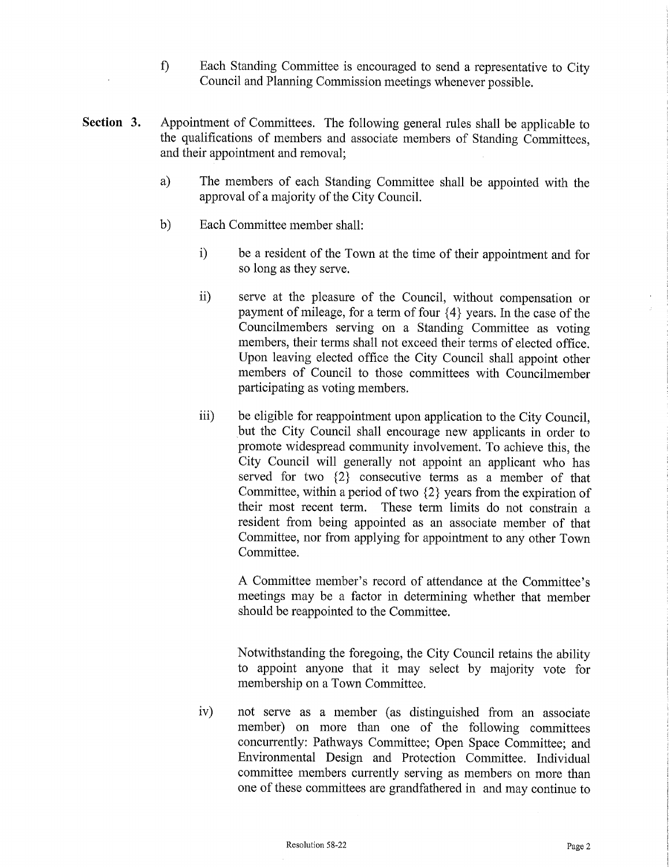- f) Each Standing Committee is encouraged to send <sup>a</sup> representative to City Council and Planning Commission meetings whenever possible.
- Section 3. Appointment of Committees. The following general rules shall be applicable to the qualifications of members and associate members of Standing Committees, and their appointment and removal;
	- a) The members of each Standing Committee shall be appointed with the approval of <sup>a</sup> majority of the City Council.
	- b) Each Committee member shall:
		- i) be <sup>a</sup> resident of the Town at the time of their appointment and for so long as they serve.
		- ii) serve at the pleasure of the Council, without compensation or payment of mileage, for <sup>a</sup> term of four { 4} years. In the case of the Councilmembers serving on a Standing Committee as voting members, their terms shall not exceed their terms of elected office. Upon leaving elected office the City Council shall appoint other members of Council to those committees with Councilmember participating as voting members.
		- iii) be eligible for reappointment upon application to the City Council, but the City Council shall encourage new applicants in order to promote widespread community involvement. To achieve this, the City Council will generally not appoint an applicant who has served for two  ${2}$  consecutive terms as a member of that Committee, within a period of two  $\{2\}$  years from the expiration of their most recent term. These term limits do not constrain a resident from being appointed as an associate member of that Committee, nor from applying for appointment to any other Town Committee.

A Committee member's record of attendance at the Committee's meetings may be a factor in determining whether that member should be reappointed to the Committee.

Notwithstanding the foregoing, the City Council retains the ability to appoint anyone that it may select by majority vote for membership on a Town Committee.

iv) not serve as a member (as distinguished from an associate member) on more than one of the following committees concurrently: Pathways Committee; Open Space Committee; and Environmental Design and Protection Committee. Individual committee members currently serving as members on more than one of these committees are grandfathered in and may continue to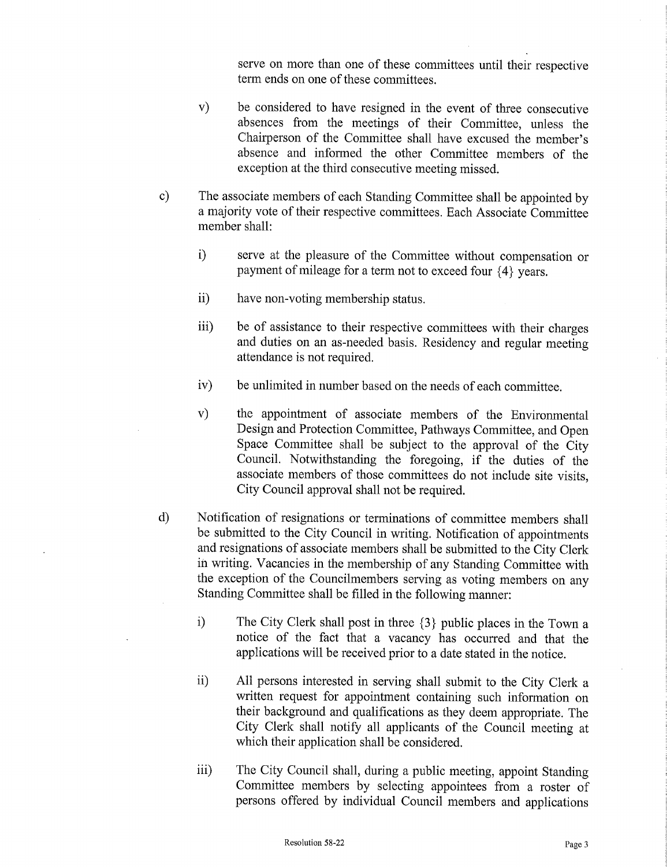serve on more than one of these committees until their respective term ends on one of these committees.

- v) be considered to have resigned in the event of three consecutive absences from the meetings of their Committee, unless the Chairperson of the Committee shall have excused the member's absence and informed the other Committee members of the exception at the third consecutive meeting missed.
- C) The associate members of each Standing Committee shall be appointed by a majority vote of their respective committees. Each Associate Committee member shall:
	- i) serve at the pleasure of the Committee without compensation or payment of mileage for a term not to exceed four  $\{4\}$  years.
	- ii) have non-voting membership status.
	- iii) be of assistance to their respective committees with their charges and duties on an as -needed basis. Residency and regular meeting attendance is not required.
	- iv) be unlimited in number based on the needs of each committee.
	- v) the appointment of associate members of the Environmental Design and Protection Committee, Pathways Committee, and Open Space Committee shall be subject to the approval of the City Council. Notwithstanding the foregoing, if the duties of the associate members of those committees do not include site visits, City Council approval shall not be required.
- d) Notification of resignations or terminations of committee members shall be submitted to the City Council in writing. Notification of appointments and resignations of associate members shall be submitted to the City Clerk in writing. Vacancies in the membership of any Standing Committee with the exception of the Councilmembers serving as voting members on any Standing Committee shall be filled in the following manner:
	- i) The City Clerk shall post in three  $\{3\}$  public places in the Town a notice of the fact that <sup>a</sup> vacancy has occurred and that the applications will be received prior to <sup>a</sup> date stated in the notice.
	- ii) All persons interested in serving shall submit to the City Clerk a written request for appointment containing such information on their background and qualifications as they deem appropriate. The City Clerk shall notify all applicants of the Council meeting at which their application shall be considered.
	- iii) The City Council shall, during <sup>a</sup> public meeting, appoint Standing Committee members by selecting appointees from <sup>a</sup> roster of persons offered by individual Council members and applications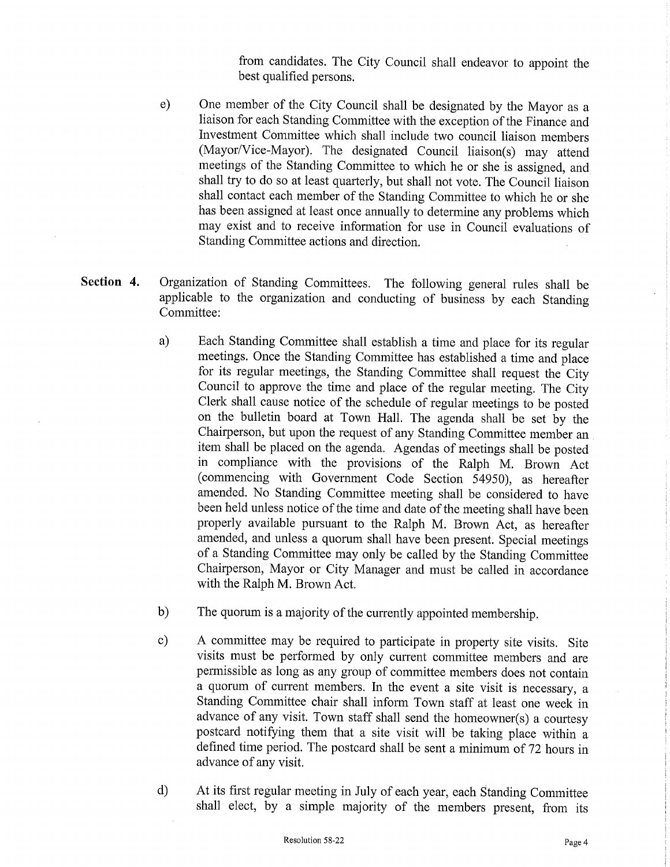from candidates. The City Council shall endeavor to appoint the best qualified persons.

- e) One member of the City Council shall be designated by the Mayor as a liaison for each Standing Committee with the exception of the Finance and Investment Committee which shall include two council liaison members (Mayor/Vice-Mayor). The designated Council liaison(s) may attend meetings of the Standing Committee to which he or she is assigned, and shall try to do so at least quarterly, but shall not vote. The Council liaison shall contact each member of the Standing Committee to which he or she has been assigned at least once annually to determine any problems which may exist and to receive information for use in Council evaluations of Standing Committee actions and direction.
- Section 4. Organization of Standing Committees. The following general rules shall be applicable to the organization and conducting of business by each Standing Committee:
	- a) Each Standing Committee shall establish a time and place for its regular meetings. Once the Standing Committee has established a time and place for its regular meetings, the Standing Committee shall request the City Council to approve the time and place of the regular meeting. The City Clerk shall cause notice of the schedule of regular meetings to be posted on the bulletin board at Town Hall. The agenda shall be set by the Chairperson, but upon the request of any Standing Committee member an item shall be placed on the agenda. Agendas of meetings shall be posted in compliance with the provisions of the Ralph M. Brown Act commencing with Government Code Section 54950), as hereafter amended. No Standing Committee meeting shall be considered to have been held unless notice of the time and date of the meeting shall have been properly available pursuant to the Ralph M. Brown Act, as hereafter amended, and unless a quorum shall have been present. Special meetings of <sup>a</sup> Standing Committee may only be called by the Standing Committee Chairperson, Mayor or City Manager and must be called in accordance with the Ralph M. Brown Act.
	- b) The quorum is a majority of the currently appointed membership.
	- c) A committee may be required to participate in property site visits. Site visits must be performed by only current committee members and are permissible as long as any group of committee members does not contain <sup>a</sup> quorum of current members. In the event <sup>a</sup> site visit is necessary, a Standing Committee chair shall inform Town staff at least one week in advance of any visit. Town staff shall send the homeowner(s) a courtesy postcard notifying them that <sup>a</sup> site visit will be taking place within <sup>a</sup> defined time period. The postcard shall be sent <sup>a</sup> minimum of 72 hours in advance of any visit.
	- d) At its first regular meeting in July of each year, each Standing Committee shall elect, by a simple majority of the members present, from its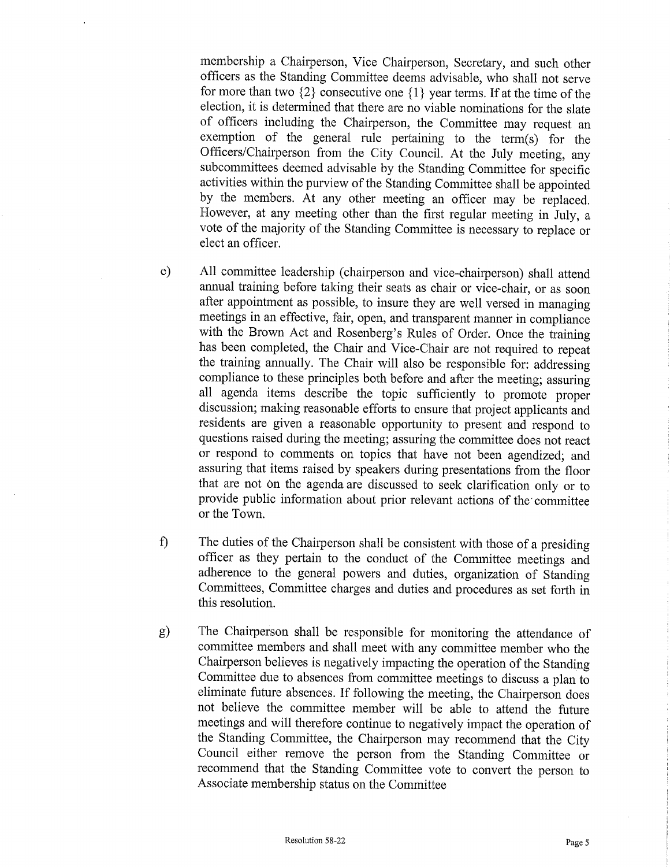membership a Chairperson, Vice Chairperson, Secretary, and such other officers as the Standing Committee deems advisable, who shall not serve for more than two  $\{2\}$  consecutive one  $\{1\}$  year terms. If at the time of the election, it is determined that there are no viable nominations for the slate of officers including the Chairperson, the Committee may request an exemption of the general rule pertaining to the term(s) for the Officers/Chairperson from the City Council. At the July meeting, any subcommittees deemed advisable by the Standing Committee for specific activities within the purview of the Standing Committee shall be appointed by the members. At any other meeting an officer may be replaced. However, at any meeting other than the first regular meeting in July, a vote of the majority of the Standing Committee is necessary to replace or elect an officer.

- e) All committee leadership ( chairperson and vice -chairperson) shall attend annual training before taking their seats as chair or vice -chair, or as soon after appointment as possible, to insure they are well versed in managing meetings in an effective, fair, open, and transparent manner in compliance with the Brown Act and Rosenberg's Rules of Order. Once the training has been completed, the Chair and Vice -Chair are not required to repeat the training annually. The Chair will also be responsible for: addressing compliance to these principles both before and after the meeting; assuring all agenda items describe the topic sufficiently to promote proper discussion; making reasonable efforts to ensure that project applicants and residents are given a reasonable opportunity to present and respond to questions raised during the meeting; assuring the committee does not react or respond to comments on topics that have not been agendized; and assuring that items raised by speakers during presentations from the floor that are not on the agenda are discussed to seek clarification only or to provide public information about prior relevant actions of the committee or the Town.
- f) The duties of the Chairperson shall be consistent with those of <sup>a</sup> presiding officer as they pertain to the conduct of the Committee meetings and adherence to the general powers and duties, organization of Standing Committees, Committee charges and duties and procedures as set forth in this resolution.
- g) The Chairperson shall be responsible for monitoring the attendance of committee members and shall meet with any committee member who the Chairperson believes is negatively impacting the operation of the Standing Committee due to absences from committee meetings to discuss a plan to eliminate future absences. If following the meeting, the Chairperson does not believe the committee member will be able to attend the future meetings and will therefore continue to negatively impact the operation of the Standing Committee, the Chairperson may recommend that the City Council either remove the person from the Standing Committee or recommend that the Standing Committee vote to convert the person to Associate membership status on the Committee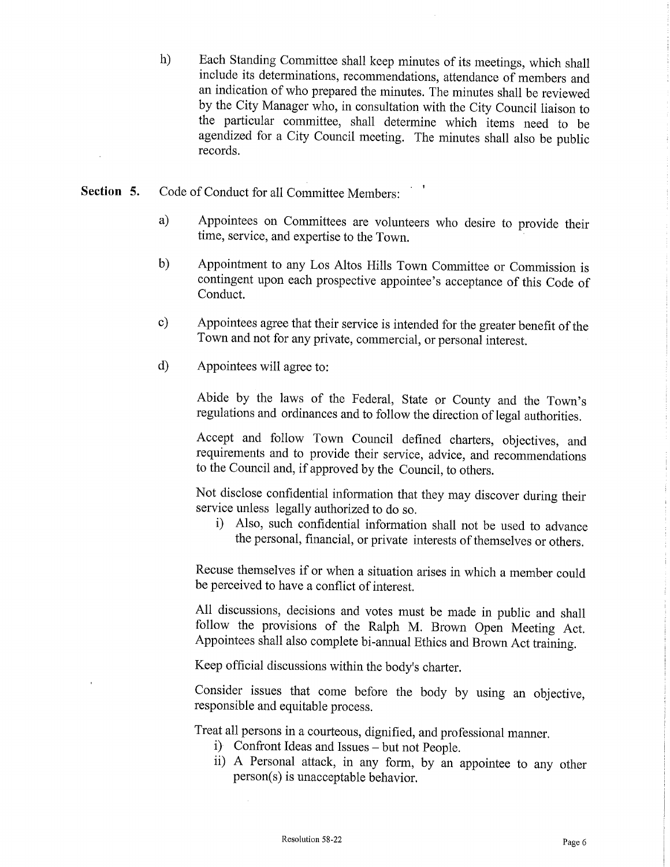h) Each Standing Committee shall keep minutes of its meetings, which shall include its determinations, recommendations, attendance of members and an indication of who prepared the minutes. The minutes shall be reviewed by the City Manager who, in consultation with the City Council liaison to the particular committee, shall determine which items need to be agendized for a City Council meeting. The minutes shall also be public records.

- Section 5. Code of Conduct for all Committee Members:
	- a) Appointees on Committees are volunteers who desire to provide their time, service, and expertise to the Town.
	- b) Appointment to any Los Altos Hills Town Committee or Commission is contingent upon each prospective appointee's acceptance of this Code of Conduct.
	- c) Appointees agree that their service is intended for the greater benefit of the Town and not for any private, commercial, or personal interest.
	- d) Appointees will agree to:

Abide by the laws of the Federal, State or County and the Town's regulations and ordinances and to follow the direction of legal authorities.

Accept and follow Town Council defined charters, objectives, and requirements and to provide their service, advice, and recommendations to the Council and, if approved by the Council, to others.

Not disclose confidential information that they may discover during their service unless legally authorized to do so.

i) Also, such confidential information shall not be used to advance the personal, financial, or private interests of themselves or others.

Recuse themselves if or when <sup>a</sup> situation arises in which <sup>a</sup> member could be perceived to have a conflict of interest.

All discussions, decisions and votes must be made in public and shall follow the provisions of the Ralph M. Brown Open Meeting Act. Appointees shall also complete bi-annual Ethics and Brown Act training.

Keep official discussions within the body's charter.

Consider issues that come before the body by using an objective, responsible and equitable process.

Treat all persons in a courteous, dignified, and professional manner.

- i) Confront Ideas and Issues but not People.
- ii) <sup>A</sup> Personal attack, in any form, by an appointee to any other person(s) is unacceptable behavior.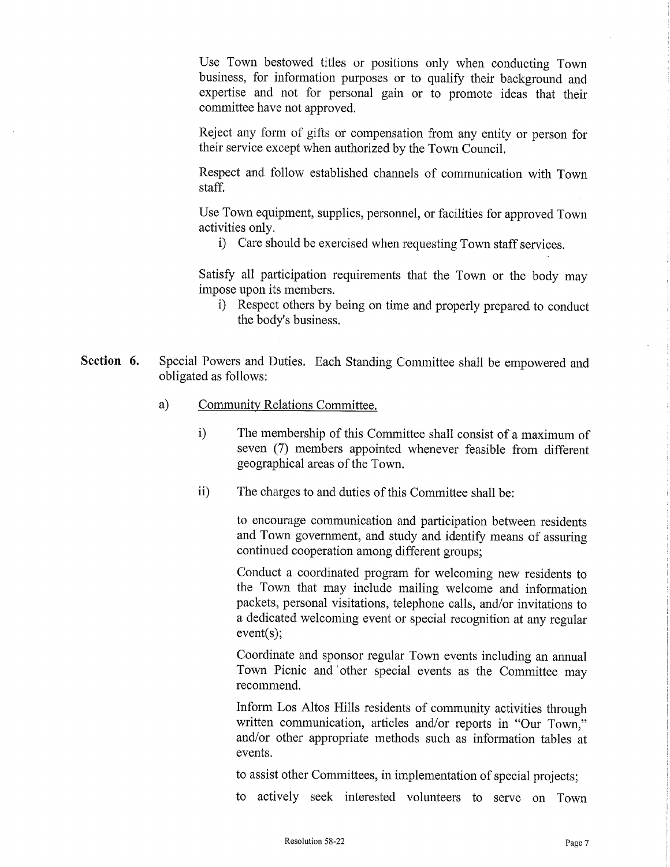Use Town bestowed titles or positions only when conducting Town business, for information purposes or to qualify their background and expertise and not for personal gain or to promote ideas that their committee have not approved.

Reject any form of gifts or compensation from any entity or person for their service except when authorized by the Town Council.

Respect and follow established channels of communication with Town staff.

Use Town equipment, supplies, personnel, or facilities for approved Town activities only.

i) Care should be exercised when requesting Town staff services.

Satisfy all participation requirements that the Town or the body may impose upon its members.

- i) Respect others by being on time and properly prepared to conduct the body's business.
- Section 6. Special Powers and Duties. Each Standing Committee shall be empowered and obligated as follows:
	- a) Community Relations Committee.
		- i) The membership of this Committee shall consist of <sup>a</sup> maximum of seven (7) members appointed whenever feasible from different geographical areas of the Town.
		- ii) The charges to and duties of this Committee shall be:

to encourage communication and participation between residents and Town government, and study and identify means of assuring continued cooperation among different groups;

Conduct a coordinated program for welcoming new residents to the Town that may include mailing welcome and information packets, personal visitations, telephone calls, and/or invitations to a dedicated welcoming event or special recognition at any regular  $event(s)$ ;

Coordinate and sponsor regular Town events including an annual Town Picnic and other special events as the Committee may recommend.

Inform Los Altos Hills residents of community activities through written communication, articles and/or reports in "Our Town," and/or other appropriate methods such as information tables at events.

to assist other Committees, in implementation of special projects;

to actively seek interested volunteers to serve on Town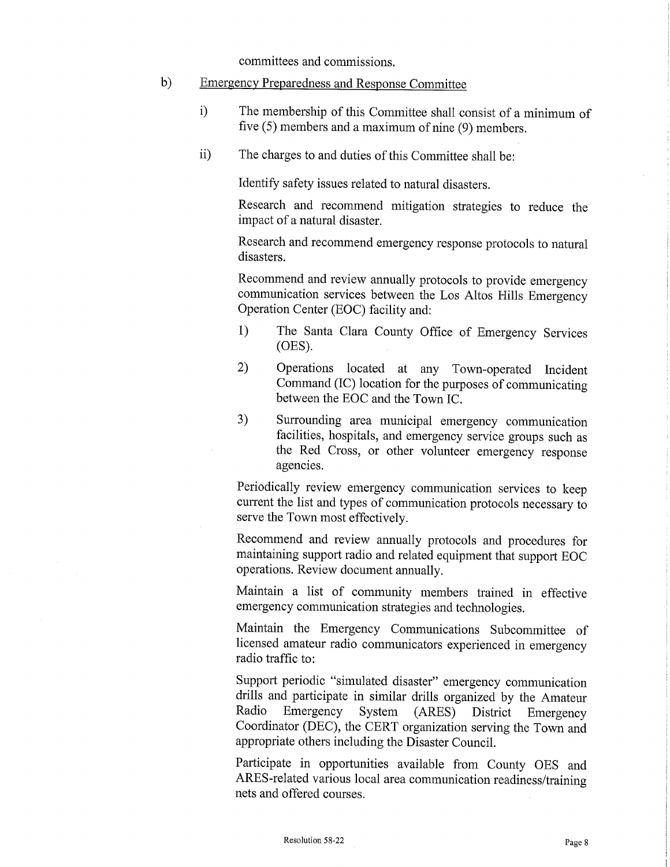committees and commissions.

## b) Emergency Preparedness and Response Committee

- i) The membership of this Committee shall consist of <sup>a</sup> minimum of five  $(5)$  members and a maximum of nine  $(9)$  members.
- ii) The charges to and duties of this Committee shall be:

Identify safety issues related to natural disasters.

Research and recommend mitigation strategies to reduce the impact of a natural disaster.

Research and recommend emergency response protocols to natural disasters.

Recommend and review annually protocols to provide emergency communication services between the Los Altos Hills Emergency Operation Center (EOC) facility and:

- 1) The Santa Clara County Office of Emergency Services OES).
- 2) Operations located at any Town -operated Incident Command (IC) location for the purposes of communicating between the EOC and the Town IC.
- 3) Surrounding area municipal emergency communication facilities, hospitals, and emergency service groups such as the Red Cross, or other volunteer emergency response agencies.

Periodically review emergency communication services to keep current the list and types of communication protocols necessary to serve the Town most effectively.

Recommend and review annually protocols and procedures for maintaining support radio and related equipment that support EOC operations. Review document annually.

Maintain a list of community members trained in effective emergency communication strategies and technologies.

Maintain the Emergency Communications Subcommittee of licensed amateur radio communicators experienced in emergency radio traffic to:

Support periodic "simulated disaster" emergency communication drills and participate in similar drills organized by the Amateur<br>Radio Emergency System (ARES) District Emergency Emergency System (ARES) District Coordinator (DEC), the CERT organization serving the Town and appropriate others including the Disaster Council.

Participate in opportunities available from County OES and ARES-related various local area communication readiness/training nets and offered courses.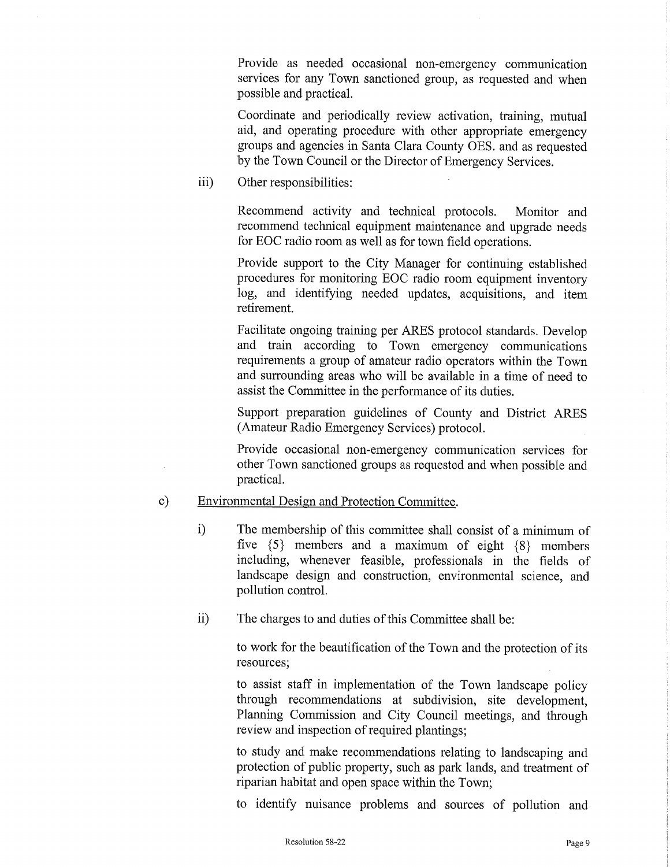Provide as needed occasional non -emergency communication services for any Town sanctioned group, as requested and when possible and practical.

Coordinate and periodically review activation, training, mutual aid, and operating procedure with other appropriate emergency groups and agencies in Santa Clara County OES. and as requested by the Town Council or the Director of Emergency Services.

iii) Other responsibilities:

Recommend activity and technical protocols. Monitor and recommend technical equipment maintenance and upgrade needs for EOC radio room as well as for town field operations.

Provide support to the City Manager for continuing established procedures for monitoring EOC radio room equipment inventory log, and identifying needed updates, acquisitions, and item retirement.

Facilitate ongoing training per ARES protocol standards. Develop and train according to Town emergency communications requirements a group of amateur radio operators within the Town and surrounding areas who will be available in <sup>a</sup> time of need to assist the Committee in the performance of its duties.

Support preparation guidelines of County and District ARES Amateur Radio Emergency Services) protocol.

Provide occasional non -emergency communication services for other Town sanctioned groups as requested and when possible and practical.

- c) Environmental Design and Protection Committee.
	- i) The membership of this committee shall consist of <sup>a</sup> minimum of five  $\{5\}$  members and a maximum of eight  $\{8\}$  members including, whenever feasible, professionals in the fields of landscape design and construction, environmental science, and pollution control.
	- ii) The charges to and duties of this Committee shall be:

to work for the beautification of the Town and the protection of its resources;

to assist staff in implementation of the Town landscape policy through recommendations at subdivision, site development, Planning Commission and City Council meetings, and through review and inspection of required plantings;

to study and make recommendations relating to landscaping and protection of public property, such as park lands, and treatment of riparian habitat and open space within the Town;

to identify nuisance problems and sources of pollution and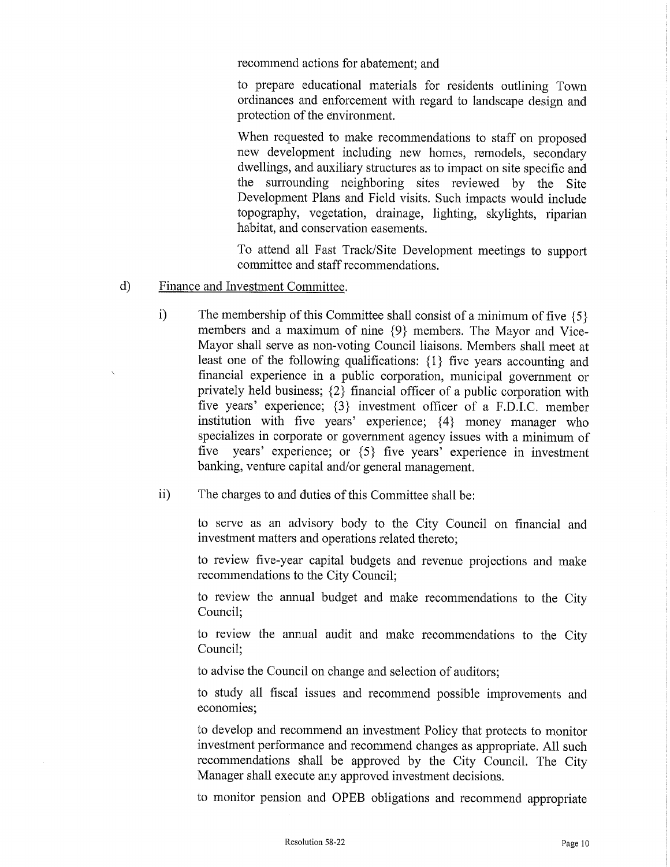recommend actions for abatement; and

to prepare educational materials for residents outlining Town ordinances and enforcement with regard to landscape design and protection of the environment.

When requested to make recommendations to staff on proposed new development including new homes, remodels, secondary dwellings, and auxiliary structures as to impact on site specific and the surrounding neighboring sites reviewed by the Site Development Plans and Field visits. Such impacts would include topography, vegetation, drainage, lighting, skylights, riparian habitat, and conservation easements.

To attend all Fast Track/Site Development meetings to support committee and staff recommendations.

## d) Finance and Investment Committee.

- i) The membership of this Committee shall consist of a minimum of five  $\{5\}$ members and a maximum of nine  $\{9\}$  members. The Mayor and Vice-Mayor shall serve as non-voting Council liaisons. Members shall meet at least one of the following qualifications:  $\{1\}$  five years accounting and financial experience in a public corporation, municipal government or privately held business;  $\{2\}$  financial officer of a public corporation with five years' experience;  $\{3\}$  investment officer of a F.D.I.C. member institution with five years' experience;  $\{4\}$  money manager who specializes in corporate or government agency issues with <sup>a</sup> minimum of five years' experience; or  $\{5\}$  five years' experience in investment banking, venture capital and/or general management.
- ii) The charges to and duties of this Committee shall be:

to serve as an advisory body to the City Council on financial and investment matters and operations related thereto;

to review five- year capital budgets and revenue projections and make recommendations to the City Council;

to review the annual budget and make recommendations to the City Council;

to review the annual audit and make recommendations to the City Council;

to advise the Council on change and selection of auditors;

to study all fiscal issues and recommend possible improvements and economies;

to develop and recommend an investment Policy that protects to monitor investment performance and recommend changes as appropriate. All such recommendations shall be approved by the City Council. The City Manager shall execute any approved investment decisions.

to monitor pension and OPEB obligations and recommend appropriate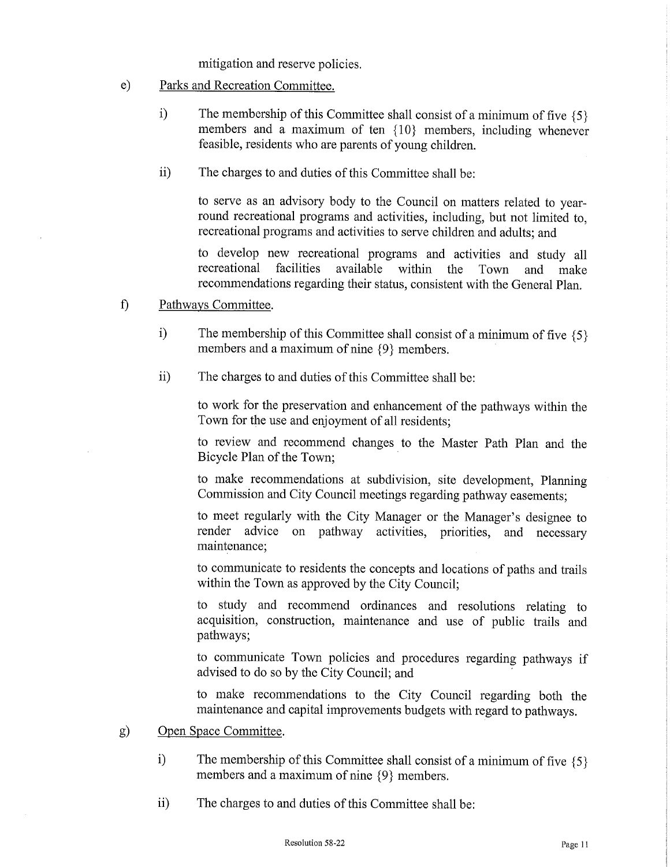mitigation and reserve policies.

- e) Parks and Recreation Committee.
	- i) The membership of this Committee shall consist of a minimum of five  $\{5\}$ members and <sup>a</sup> maximum of ten { 10} members, including whenever feasible, residents who are parents of young children.
	- ii) The charges to and duties of this Committee shall be:

to serve as an advisory body to the Council on matters related to yearround recreational programs and activities, including, but not limited to, recreational programs and activities to serve children and adults; and

to develop new recreational programs and activities and study all available within the Town and make recommendations regarding their status, consistent with the General Plan.

- f) Pathways Committee.
	- i) The membership of this Committee shall consist of a minimum of five  $\{5\}$ members and a maximum of nine  $\{9\}$  members.
	- ii) The charges to and duties of this Committee shall be:

to work for the preservation and enhancement of the pathways within the Town for the use and enjoyment of all residents;

to review and recommend changes to the Master Path Plan and the Bicycle Plan of the Town;

to make recommendations at subdivision, site development, Planning Commission and City Council meetings regarding pathway easements;

to meet regularly with the City Manager or the Manager's designee to render advice on pathway activities, priorities, and necessary maintenance;

to communicate to residents the concepts and locations of paths and trails within the Town as approved by the City Council;

to study and recommend ordinances and resolutions relating to acquisition, construction, maintenance and use of public trails and pathways;

to communicate Town policies and procedures regarding pathways if advised to do so by the City Council; and

to make recommendations to the City Council regarding both the maintenance and capital improvements budgets with regard to pathways.

- g) Open Space Committee.
	- i) The membership of this Committee shall consist of a minimum of five  $\{5\}$ members and a maximum of nine  $\{9\}$  members.
	- ii) The charges to and duties of this Committee shall be: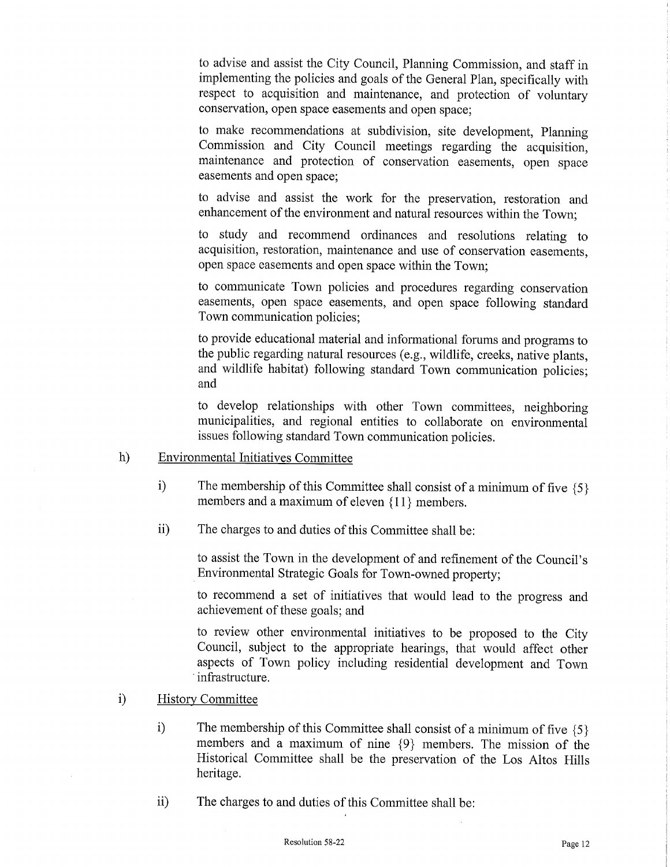to advise and assist the City Council, Planning Commission, and staff in implementing the policies and goals of the General Plan, specifically with respect to acquisition and maintenance, and protection of voluntary conservation, open space easements and open space;

to make recommendations at subdivision, site development, Planning Commission and City Council meetings regarding the acquisition, maintenance and protection of conservation easements, open space easements and open space;

to advise and assist the work, for the preservation, restoration and enhancement of the environment and natural resources within the Town;

to study and recommend ordinances and resolutions relating to acquisition, restoration, maintenance and use of conservation easements, open space easements and open space within the Town;

to communicate Town policies and procedures regarding conservation easements, open space easements, and open space following standard Town communication policies;

to provide educational material and informational forums and programs to the public regarding natural resources (e.g., wildlife, creeks, native plants, and wildlife habitat) following standard Town communication policies; and

to develop relationships with other Town committees, neighboring municipalities, and regional entities to collaborate on environmental issues following standard Town communication policies.

- h) Environmental Initiatives Committee
	- i) The membership of this Committee shall consist of a minimum of five  $\{5\}$ members and a maximum of eleven  ${11}$  members.
	- ii) The charges to and duties of this Committee shall be:

to assist the Town in the development of and refinement of the Council's Environmental Strategic Goals for Town -owned property;

to recommend a set of initiatives that would lead to the progress and achievement of these goals; and

to review other environmental initiatives to be proposed to the City Council, subject to the appropriate hearings, that would affect other aspects of Town policy including residential development and Town infrastructure.

- i) History Committee
	- i) The membership of this Committee shall consist of a minimum of five  $\{5\}$ members and a maximum of nine  $\{9\}$  members. The mission of the Historical Committee shall be the preservation of the Los Altos Hills heritage.
	- ii) The charges to and duties of this Committee shall be: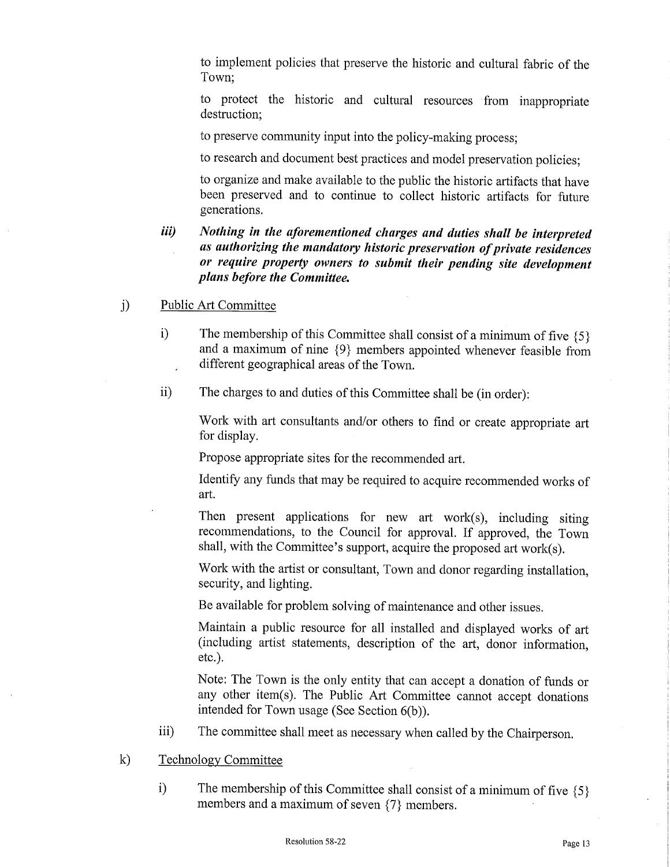to implement policies that preserve the historic and cultural fabric of the Town;

to protect the historic and cultural resources from inappropriate destruction;

to preserve community input into the policy-making process;

to research and document best practices and model preservation policies;

to organize and make available to the public the historic artifacts that have been preserved and to continue to collect historic artifacts for future generations.

- iii) Nothing in the aforementioned charges and duties shall be interpreted as authorizing the mandatory historic preservation of private residences or require property owners to submit their pending site development plans before the Committee.
- j) Public Art Committee
	- i) The membership of this Committee shall consist of a minimum of five  $\{5\}$ and <sup>a</sup> maximum of nine { 9} members appointed whenever feasible from different geographical areas of the Town.
	- ii) The charges to and duties of this Committee shall be (in order):

Work with art consultants and/or others to find or create appropriate art for display.

Propose appropriate sites for the recommended art.

Identify any funds that may be required to acquire recommended works of art.

Then present applications for new art work(s), including siting recommendations, to the Council for approval. If approved, the Town shall, with the Committee's support, acquire the proposed art work $(s)$ .

Work with the artist or consultant, Town and donor regarding installation, security, and lighting.

Be available for problem solving of maintenance and other issues.

Maintain <sup>a</sup> public resource for all installed and displayed works of art including artist statements, description of the art, donor information, etc.).

Note: The Town is the only entity that can accept <sup>a</sup> donation of funds or any other item(s). The Public Art Committee cannot accept donations intended for Town usage (See Section  $6(b)$ ).

- iii) The committee shall meet as necessary when called by the Chairperson.
- k) Technology Committee
	- i) The membership of this Committee shall consist of a minimum of five  $\{5\}$ members and a maximum of seven  $\{7\}$  members.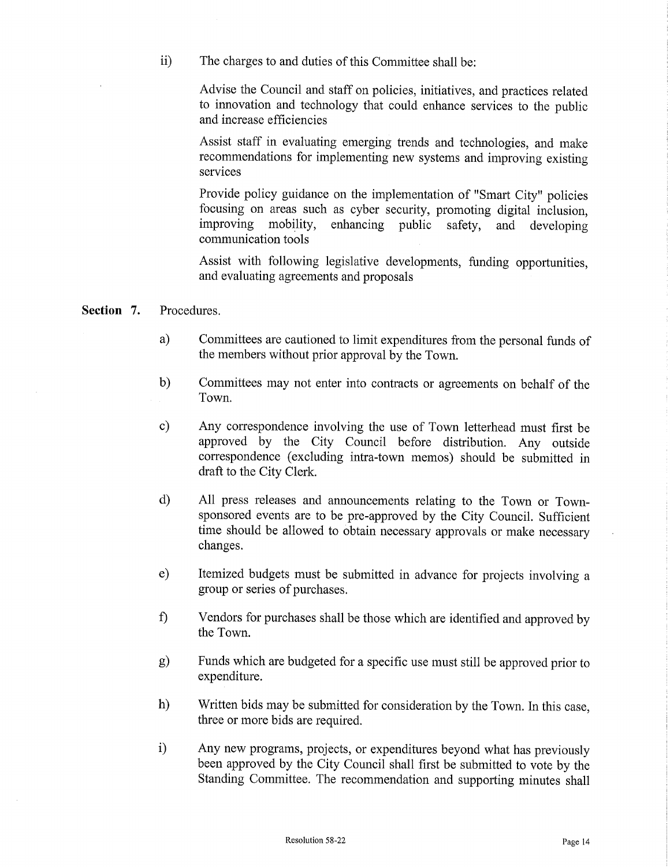ii) The charges to and duties of this Committee shall be:

Advise the Council and staff on policies, initiatives, and practices related to innovation and technology that could enhance services to the public and increase efficiencies

Assist staff in evaluating emerging trends and technologies, and make recommendations for implementing new systems and improving existing services

Provide policy guidance on the implementation of "Smart City" policies focusing on areas such as cyber security, promoting digital inclusion, safety, and developing communication tools

Assist with following legislative developments, funding opportunities, and evaluating agreements and proposals

- Section 7. Procedures.
	- a) Committees are cautioned to limit expenditures from the personal funds of the members without prior approval by the Town.
	- b) Committees may not enter into contracts or agreements on behalf of the Town.
	- c) Any correspondence involving the use of Town letterhead must first be approved by the City Council before distribution. Any outside correspondence (excluding intra-town memos) should be submitted in draft to the City Clerk.
	- d) All press releases and announcements relating to the Town or Townsponsored events are to be pre -approved by the City Council. Sufficient time should be allowed to obtain necessary approvals or make necessary changes.
	- e) Itemized budgets must be submitted in advance for projects involving <sup>a</sup> group or series of purchases.
	- f) Vendors for purchases shall be those which are identified and approved by the Town.
	- g) Funds which are budgeted for <sup>a</sup> specific use must still be approved prior to expenditure.
	- h) Written bids may be submitted for consideration by the Town. In this case, three or more bids are required.
	- i) Any new programs, projects, or expenditures beyond what has previously been approved by the City Council shall first be submitted to vote by the Standing Committee. The recommendation and supporting minutes shall